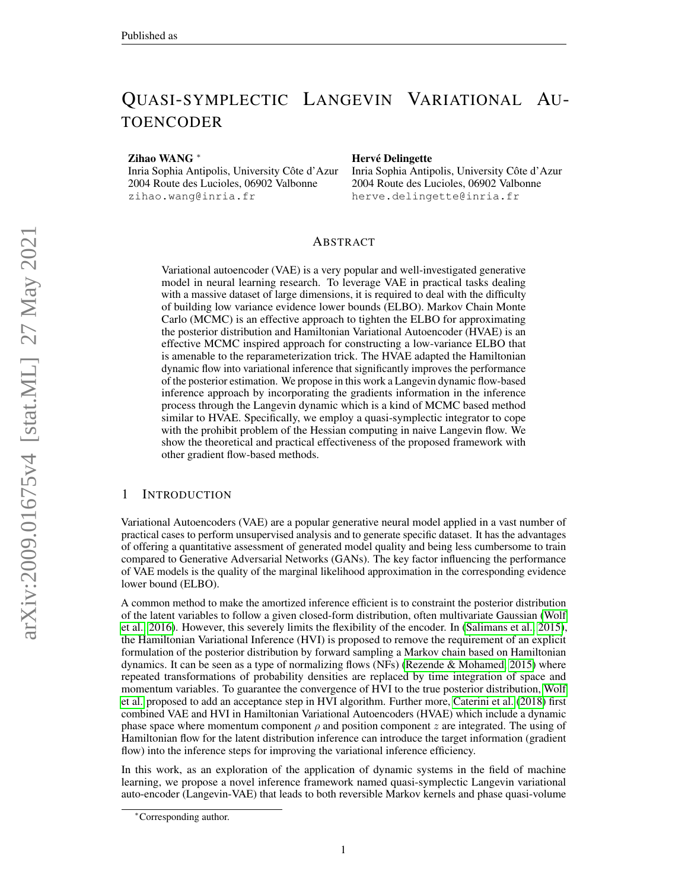# QUASI-SYMPLECTIC LANGEVIN VARIATIONAL AU-TOENCODER

Zihao WANG <sup>∗</sup>

Inria Sophia Antipolis, University Côte d'Azur 2004 Route des Lucioles, 06902 Valbonne zihao.wang@inria.fr

#### Hervé Delingette

Inria Sophia Antipolis, University Cote d'Azur ˆ 2004 Route des Lucioles, 06902 Valbonne herve.delingette@inria.fr

# ABSTRACT

Variational autoencoder (VAE) is a very popular and well-investigated generative model in neural learning research. To leverage VAE in practical tasks dealing with a massive dataset of large dimensions, it is required to deal with the difficulty of building low variance evidence lower bounds (ELBO). Markov Chain Monte Carlo (MCMC) is an effective approach to tighten the ELBO for approximating the posterior distribution and Hamiltonian Variational Autoencoder (HVAE) is an effective MCMC inspired approach for constructing a low-variance ELBO that is amenable to the reparameterization trick. The HVAE adapted the Hamiltonian dynamic flow into variational inference that significantly improves the performance of the posterior estimation. We propose in this work a Langevin dynamic flow-based inference approach by incorporating the gradients information in the inference process through the Langevin dynamic which is a kind of MCMC based method similar to HVAE. Specifically, we employ a quasi-symplectic integrator to cope with the prohibit problem of the Hessian computing in naive Langevin flow. We show the theoretical and practical effectiveness of the proposed framework with other gradient flow-based methods.

#### 1 INTRODUCTION

Variational Autoencoders (VAE) are a popular generative neural model applied in a vast number of practical cases to perform unsupervised analysis and to generate specific dataset. It has the advantages of offering a quantitative assessment of generated model quality and being less cumbersome to train compared to Generative Adversarial Networks (GANs). The key factor influencing the performance of VAE models is the quality of the marginal likelihood approximation in the corresponding evidence lower bound (ELBO).

A common method to make the amortized inference efficient is to constraint the posterior distribution of the latent variables to follow a given closed-form distribution, often multivariate Gaussian [\(Wolf](#page-9-0) [et al., 2016\)](#page-9-0). However, this severely limits the flexibility of the encoder. In [\(Salimans et al., 2015\)](#page-9-1), the Hamiltonian Variational Inference (HVI) is proposed to remove the requirement of an explicit formulation of the posterior distribution by forward sampling a Markov chain based on Hamiltonian dynamics. It can be seen as a type of normalizing flows (NFs) (Rezende  $&$  Mohamed, 2015) where repeated transformations of probability densities are replaced by time integration of space and momentum variables. To guarantee the convergence of HVI to the true posterior distribution, [Wolf](#page-9-0) [et al.](#page-9-0) proposed to add an acceptance step in HVI algorithm. Further more, [Caterini et al.](#page-8-0) [\(2018\)](#page-8-0) first combined VAE and HVI in Hamiltonian Variational Autoencoders (HVAE) which include a dynamic phase space where momentum component  $\rho$  and position component z are integrated. The using of Hamiltonian flow for the latent distribution inference can introduce the target information (gradient flow) into the inference steps for improving the variational inference efficiency.

In this work, as an exploration of the application of dynamic systems in the field of machine learning, we propose a novel inference framework named quasi-symplectic Langevin variational auto-encoder (Langevin-VAE) that leads to both reversible Markov kernels and phase quasi-volume

<sup>∗</sup>Corresponding author.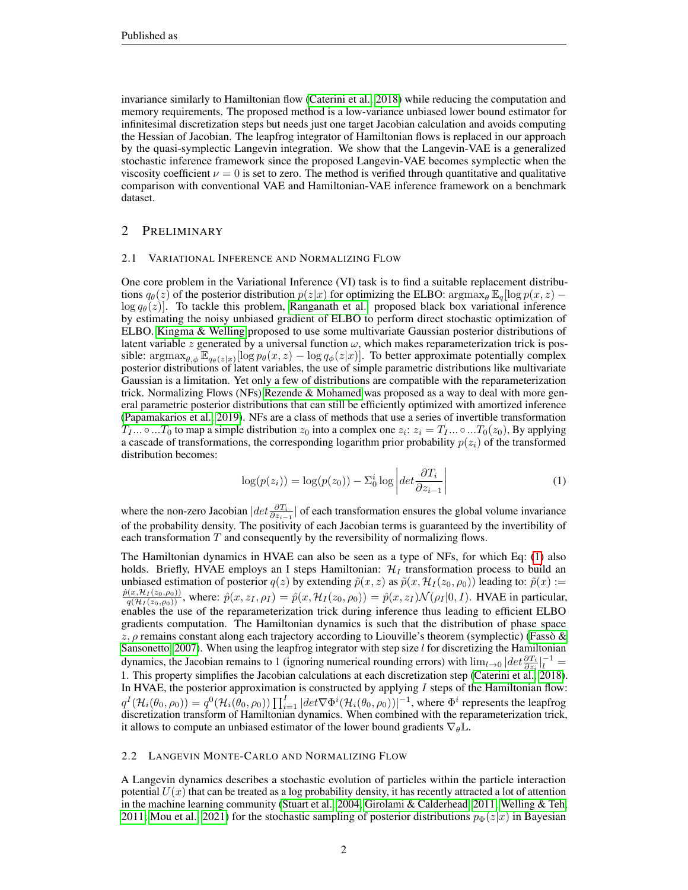invariance similarly to Hamiltonian flow [\(Caterini et al., 2018\)](#page-8-0) while reducing the computation and memory requirements. The proposed method is a low-variance unbiased lower bound estimator for infinitesimal discretization steps but needs just one target Jacobian calculation and avoids computing the Hessian of Jacobian. The leapfrog integrator of Hamiltonian flows is replaced in our approach by the quasi-symplectic Langevin integration. We show that the Langevin-VAE is a generalized stochastic inference framework since the proposed Langevin-VAE becomes symplectic when the viscosity coefficient  $\nu = 0$  is set to zero. The method is verified through quantitative and qualitative comparison with conventional VAE and Hamiltonian-VAE inference framework on a benchmark dataset.

## 2 PRELIMINARY

#### 2.1 VARIATIONAL INFERENCE AND NORMALIZING FLOW

One core problem in the Variational Inference (VI) task is to find a suitable replacement distributions  $q_{\theta}(z)$  of the posterior distribution  $p(z|x)$  for optimizing the ELBO:  $\arg \max_{\theta} \mathbb{E}_{q}[\log p(x, z)$  –  $\log q_{\theta}(z)$ ]. To tackle this problem, [Ranganath et al.](#page-9-3) proposed black box variational inference by estimating the noisy unbiased gradient of ELBO to perform direct stochastic optimization of ELBO. [Kingma & Welling](#page-8-1) proposed to use some multivariate Gaussian posterior distributions of latent variable z generated by a universal function  $\omega$ , which makes reparameterization trick is possible:  $\argmax_{\theta, \phi} \mathbb{E}_{q_{\theta}(z|x)} [\log p_{\theta}(x, z) - \log q_{\phi}(z|x)].$  To better approximate potentially complex posterior distributions of latent variables, the use of simple parametric distributions like multivariate Gaussian is a limitation. Yet only a few of distributions are compatible with the reparameterization trick. Normalizing Flows (NFs) [Rezende & Mohamed](#page-9-2) was proposed as a way to deal with more general parametric posterior distributions that can still be efficiently optimized with amortized inference [\(Papamakarios et al., 2019\)](#page-9-4). NFs are a class of methods that use a series of invertible transformation  $T_1... \circ ... T_0$  to map a simple distribution  $z_0$  into a complex one  $z_i: z_i = T_1... \circ ... T_0(z_0)$ , By applying a cascade of transformations, the corresponding logarithm prior probability  $p(z_i)$  of the transformed distribution becomes:

<span id="page-1-0"></span>
$$
\log(p(z_i)) = \log(p(z_0)) - \sum_{0}^{i} \log \left| \det \frac{\partial T_i}{\partial z_{i-1}} \right| \tag{1}
$$

where the non-zero Jacobian  $|det \frac{\partial T_i}{\partial z_{i-1}}|$  of each transformation ensures the global volume invariance of the probability density. The positivity of each Jacobian terms is guaranteed by the invertibility of each transformation  $T$  and consequently by the reversibility of normalizing flows.

The Hamiltonian dynamics in HVAE can also be seen as a type of NFs, for which Eq: [\(1\)](#page-1-0) also holds. Briefly, HVAE employs an I steps Hamiltonian:  $\mathcal{H}_I$  transformation process to build an unbiased estimation of posterior  $q(z)$  by extending  $\tilde{p}(x, z)$  as  $\tilde{p}(x, \mathcal{H}_I(z_0, \rho_0))$  leading to:  $\tilde{p}(x) :=$  $\frac{\hat{p}(x,\mathcal{H}_I(z_0,\rho_0))}{q(\mathcal{H}_I(z_0,\rho_0))}$ , where:  $\hat{p}(x,z_I,\rho_I) = \hat{p}(x,\mathcal{H}_I(z_0,\rho_0)) = \hat{p}(x,z_I)\mathcal{N}(\rho_I|0,I)$ . HVAE in particular, enables the use of the reparameterization trick during inference thus leading to efficient ELBO gradients computation. The Hamiltonian dynamics is such that the distribution of phase space z,  $\rho$  remains constant along each trajectory according to Liouville's theorem (symplectic) (Fasso & [Sansonetto, 2007\)](#page-8-2). When using the leapfrog integrator with step size  $l$  for discretizing the Hamiltonian dynamics, the Jacobian remains to 1 (ignoring numerical rounding errors) with  $\lim_{l\to 0} |det \frac{\partial T_i}{\partial z_i}|_l^{-1} =$ 1. This property simplifies the Jacobian calculations at each discretization step [\(Caterini et al., 2018\)](#page-8-0). In HVAE, the posterior approximation is constructed by applying  $I$  steps of the Hamiltonian flow:  $q^I(\mathcal{H}_i(\theta_0,\rho_0))=q^0(\mathcal{H}_i(\theta_0,\rho_0))\prod_{i=1}^I|det\nabla\Phi^i(\mathcal{H}_i(\theta_0,\rho_0))|^{-1}$ , where  $\Phi^i$  represents the leapfrog discretization transform of Hamiltonian dynamics. When combined with the reparameterization trick, it allows to compute an unbiased estimator of the lower bound gradients  $\nabla_{\theta} \mathbb{L}$ .

#### 2.2 LANGEVIN MONTE-CARLO AND NORMALIZING FLOW

A Langevin dynamics describes a stochastic evolution of particles within the particle interaction potential  $U(x)$  that can be treated as a log probability density, it has recently attracted a lot of attention in the machine learning community [\(Stuart et al., 2004;](#page-9-5) [Girolami & Calderhead, 2011;](#page-8-3) [Welling & Teh,](#page-9-6) [2011;](#page-9-6) [Mou et al., 2021\)](#page-9-7) for the stochastic sampling of posterior distributions  $p_{\Phi}(z|x)$  in Bayesian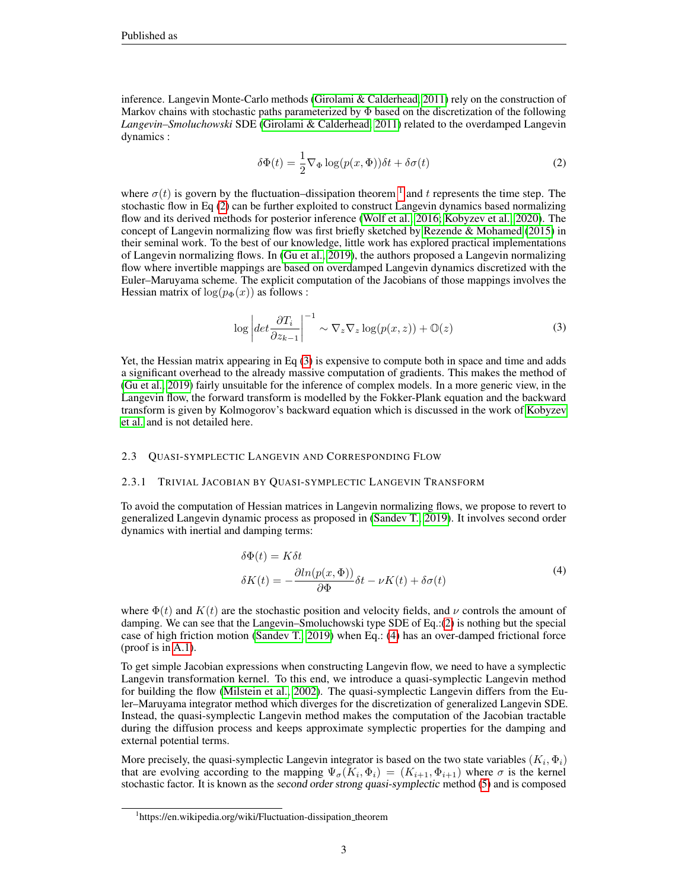inference. Langevin Monte-Carlo methods [\(Girolami & Calderhead, 2011\)](#page-8-3) rely on the construction of Markov chains with stochastic paths parameterized by  $\Phi$  based on the discretization of the following *Langevin–Smoluchowski* SDE [\(Girolami & Calderhead, 2011\)](#page-8-3) related to the overdamped Langevin dynamics :

<span id="page-2-1"></span>
$$
\delta\Phi(t) = \frac{1}{2}\nabla_{\Phi}\log(p(x,\Phi))\delta t + \delta\sigma(t)
$$
\n(2)

where  $\sigma(t)$  is govern by the fluctuation–dissipation theorem <sup>[1](#page-2-0)</sup> and t represents the time step. The stochastic flow in Eq [\(2\)](#page-2-1) can be further exploited to construct Langevin dynamics based normalizing flow and its derived methods for posterior inference [\(Wolf et al., 2016;](#page-9-0) [Kobyzev et al., 2020\)](#page-9-8). The concept of Langevin normalizing flow was first briefly sketched by [Rezende & Mohamed](#page-9-2) [\(2015\)](#page-9-2) in their seminal work. To the best of our knowledge, little work has explored practical implementations of Langevin normalizing flows. In [\(Gu et al., 2019\)](#page-8-4), the authors proposed a Langevin normalizing flow where invertible mappings are based on overdamped Langevin dynamics discretized with the Euler–Maruyama scheme. The explicit computation of the Jacobians of those mappings involves the Hessian matrix of  $log(p_{\Phi}(x))$  as follows :

$$
\log \left| \det \frac{\partial T_i}{\partial z_{k-1}} \right|^{-1} \sim \nabla_z \nabla_z \log(p(x, z)) + \mathbb{O}(z) \tag{3}
$$

<span id="page-2-2"></span>Yet, the Hessian matrix appearing in Eq [\(3\)](#page-2-2) is expensive to compute both in space and time and adds a significant overhead to the already massive computation of gradients. This makes the method of [\(Gu et al., 2019\)](#page-8-4) fairly unsuitable for the inference of complex models. In a more generic view, in the Langevin flow, the forward transform is modelled by the Fokker-Plank equation and the backward transform is given by Kolmogorov's backward equation which is discussed in the work of [Kobyzev](#page-9-8) [et al.](#page-9-8) and is not detailed here.

#### 2.3 QUASI-SYMPLECTIC LANGEVIN AND CORRESPONDING FLOW

#### 2.3.1 TRIVIAL JACOBIAN BY QUASI-SYMPLECTIC LANGEVIN TRANSFORM

To avoid the computation of Hessian matrices in Langevin normalizing flows, we propose to revert to generalized Langevin dynamic process as proposed in [\(Sandev T., 2019\)](#page-9-9). It involves second order dynamics with inertial and damping terms:

$$
\delta\Phi(t) = K\delta t
$$
  
\n
$$
\delta K(t) = -\frac{\partial \ln(p(x, \Phi))}{\partial \Phi} \delta t - \nu K(t) + \delta \sigma(t)
$$
\n(4)

<span id="page-2-3"></span>where  $\Phi(t)$  and  $K(t)$  are the stochastic position and velocity fields, and  $\nu$  controls the amount of damping. We can see that the Langevin–Smoluchowski type SDE of Eq.:[\(2\)](#page-2-1) is nothing but the special case of high friction motion [\(Sandev T., 2019\)](#page-9-9) when Eq.: [\(4\)](#page-2-3) has an over-damped frictional force (proof is in [A.1\)](#page-10-0).

To get simple Jacobian expressions when constructing Langevin flow, we need to have a symplectic Langevin transformation kernel. To this end, we introduce a quasi-symplectic Langevin method for building the flow [\(Milstein et al., 2002\)](#page-9-10). The quasi-symplectic Langevin differs from the Euler–Maruyama integrator method which diverges for the discretization of generalized Langevin SDE. Instead, the quasi-symplectic Langevin method makes the computation of the Jacobian tractable during the diffusion process and keeps approximate symplectic properties for the damping and external potential terms.

More precisely, the quasi-symplectic Langevin integrator is based on the two state variables  $(K_i, \Phi_i)$ that are evolving according to the mapping  $\Psi_{\sigma}(K_i, \Phi_i) = (K_{i+1}, \Phi_{i+1})$  where  $\sigma$  is the kernel stochastic factor. It is known as the second order strong quasi-symplectic method [\(5\)](#page-3-0) and is composed

<span id="page-2-0"></span><sup>&</sup>lt;sup>1</sup>https://en.wikipedia.org/wiki/Fluctuation-dissipation\_theorem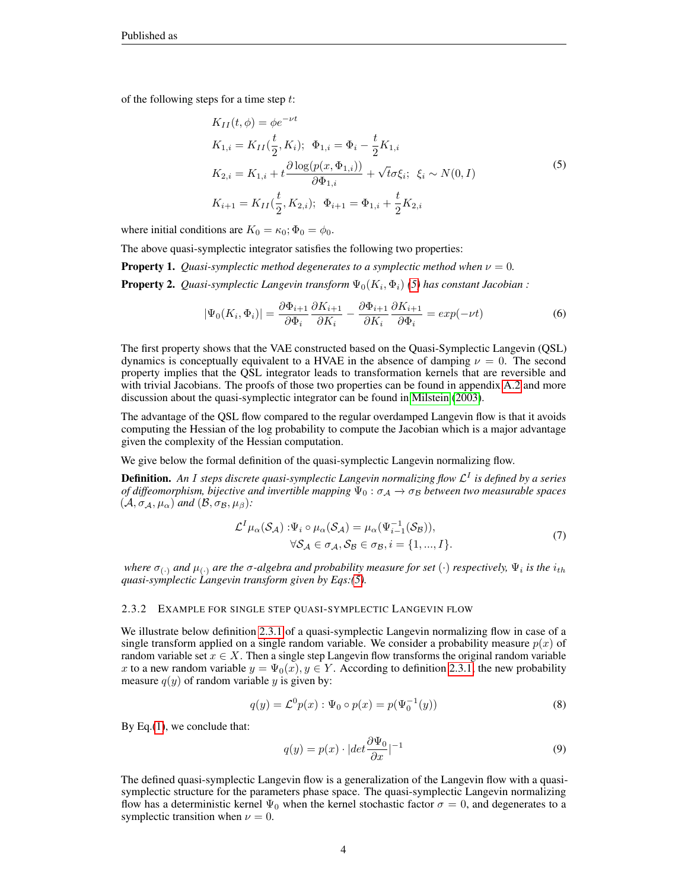<span id="page-3-0"></span>of the following steps for a time step  $t$ :

$$
K_{II}(t, \phi) = \phi e^{-\nu t}
$$
  
\n
$$
K_{1,i} = K_{II}(\frac{t}{2}, K_i); \quad \Phi_{1,i} = \Phi_i - \frac{t}{2} K_{1,i}
$$
  
\n
$$
K_{2,i} = K_{1,i} + t \frac{\partial \log(p(x, \Phi_{1,i}))}{\partial \Phi_{1,i}} + \sqrt{t} \sigma \xi_i; \quad \xi_i \sim N(0, I)
$$
  
\n
$$
K_{i+1} = K_{II}(\frac{t}{2}, K_{2,i}); \quad \Phi_{i+1} = \Phi_{1,i} + \frac{t}{2} K_{2,i}
$$
\n(5)

where initial conditions are  $K_0 = \kappa_0$ ;  $\Phi_0 = \phi_0$ .

The above quasi-symplectic integrator satisfies the following two properties:

**Property 1.** *Quasi-symplectic method degenerates to a symplectic method when*  $\nu = 0$ . **Property 2.** Quasi-symplectic Langevin transform  $\Psi_0(K_i, \Phi_i)$  [\(5\)](#page-3-0) has constant Jacobian :

$$
|\Psi_0(K_i, \Phi_i)| = \frac{\partial \Phi_{i+1}}{\partial \Phi_i} \frac{\partial K_{i+1}}{\partial K_i} - \frac{\partial \Phi_{i+1}}{\partial K_i} \frac{\partial K_{i+1}}{\partial \Phi_i} = exp(-\nu t)
$$
(6)

The first property shows that the VAE constructed based on the Quasi-Symplectic Langevin (QSL) dynamics is conceptually equivalent to a HVAE in the absence of damping  $\nu = 0$ . The second property implies that the QSL integrator leads to transformation kernels that are reversible and with trivial Jacobians. The proofs of those two properties can be found in appendix [A.2](#page-10-1) and more discussion about the quasi-symplectic integrator can be found in [Milstein](#page-9-11) [\(2003\)](#page-9-11).

The advantage of the QSL flow compared to the regular overdamped Langevin flow is that it avoids computing the Hessian of the log probability to compute the Jacobian which is a major advantage given the complexity of the Hessian computation.

We give below the formal definition of the quasi-symplectic Langevin normalizing flow.

Definition. *An* I *steps discrete quasi-symplectic Langevin normalizing flow* L I *is defined by a series of diffeomorphism, bijective and invertible mapping*  $\Psi_0$ :  $\sigma_A \rightarrow \sigma_B$  *between two measurable spaces*  $(A, \sigma_A, \mu_\alpha)$  *and*  $(B, \sigma_B, \mu_\beta)$ *:* 

$$
\mathcal{L}^{I} \mu_{\alpha}(\mathcal{S}_{\mathcal{A}}) : \Psi_{i} \circ \mu_{\alpha}(\mathcal{S}_{\mathcal{A}}) = \mu_{\alpha}(\Psi_{i-1}^{-1}(\mathcal{S}_{\mathcal{B}})), \forall \mathcal{S}_{\mathcal{A}} \in \sigma_{\mathcal{A}}, \mathcal{S}_{\mathcal{B}} \in \sigma_{\mathcal{B}}, i = \{1, ..., I\}.
$$
\n(7)

<span id="page-3-1"></span>where  $\sigma_{(\cdot)}$  and  $\mu_{(\cdot)}$  are the  $\sigma$ -algebra and probability measure for set  $(\cdot)$  respectively,  $\Psi_i$  is the  $i_{th}$ *quasi-symplectic Langevin transform given by Eqs:[\(5\)](#page-3-0).*

#### 2.3.2 EXAMPLE FOR SINGLE STEP QUASI-SYMPLECTIC LANGEVIN FLOW

We illustrate below definition [2.3.1](#page-3-1) of a quasi-symplectic Langevin normalizing flow in case of a single transform applied on a single random variable. We consider a probability measure  $p(x)$  of random variable set  $x \in X$ . Then a single step Langevin flow transforms the original random variable x to a new random variable  $y = \Psi_0(x)$ ,  $y \in Y$ . According to definition [2.3.1,](#page-3-1) the new probability measure  $q(y)$  of random variable y is given by:

$$
q(y) = \mathcal{L}^0 p(x) : \Psi_0 \circ p(x) = p(\Psi_0^{-1}(y))
$$
\n(8)

By Eq.[\(1\)](#page-1-0), we conclude that:

$$
q(y) = p(x) \cdot |det \frac{\partial \Psi_0}{\partial x}|^{-1}
$$
\n(9)

The defined quasi-symplectic Langevin flow is a generalization of the Langevin flow with a quasisymplectic structure for the parameters phase space. The quasi-symplectic Langevin normalizing flow has a deterministic kernel  $\Psi_0$  when the kernel stochastic factor  $\sigma = 0$ , and degenerates to a symplectic transition when  $\nu = 0$ .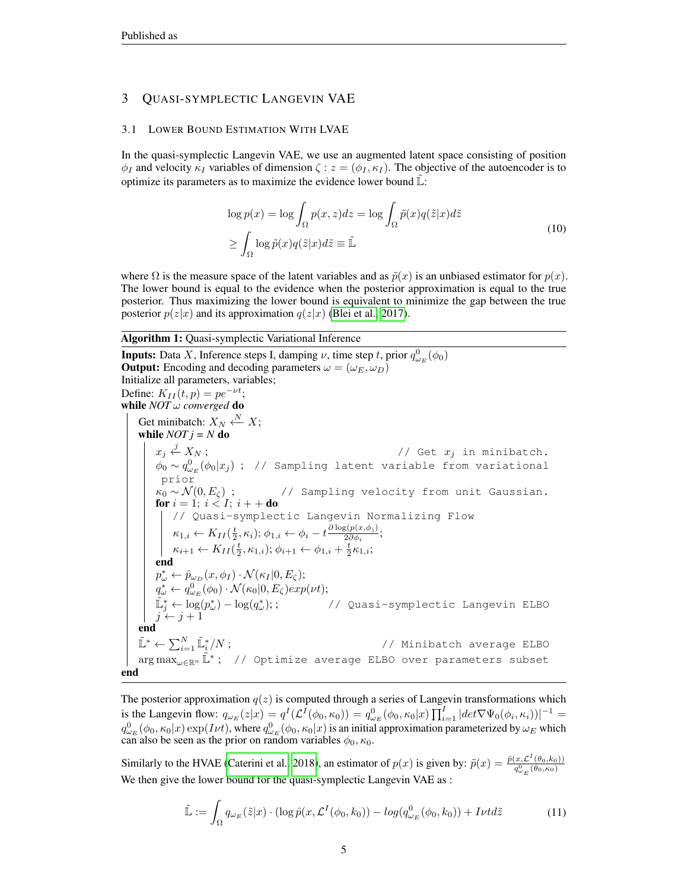# 3 QUASI-SYMPLECTIC LANGEVIN VAE

#### 3.1 LOWER BOUND ESTIMATION WITH LVAE

In the quasi-symplectic Langevin VAE, we use an augmented latent space consisting of position  $\phi_I$  and velocity  $\kappa_I$  variables of dimension  $\zeta$  :  $z = (\phi_I, \kappa_I)$ . The objective of the autoencoder is to optimize its parameters as to maximize the evidence lower bound  $\mathbb{L}$ :

$$
\log p(x) = \log \int_{\Omega} p(x, z) dz = \log \int_{\Omega} \tilde{p}(x) q(\tilde{z}|x) d\tilde{z}
$$
  
\n
$$
\geq \int_{\Omega} \log \tilde{p}(x) q(\tilde{z}|x) d\tilde{z} \equiv \tilde{\mathbb{L}} \tag{10}
$$

where  $\Omega$  is the measure space of the latent variables and as  $\tilde{p}(x)$  is an unbiased estimator for  $p(x)$ . The lower bound is equal to the evidence when the posterior approximation is equal to the true posterior. Thus maximizing the lower bound is equivalent to minimize the gap between the true posterior  $p(z|x)$  and its approximation  $q(z|x)$  [\(Blei et al., 2017\)](#page-8-5).

#### <span id="page-4-0"></span>Algorithm 1: Quasi-symplectic Variational Inference

**Inputs:** Data X, Inference steps I, damping  $\nu$ , time step t, prior  $q_{\omega_E}^0(\phi_0)$ **Output:** Encoding and decoding parameters  $\omega = (\omega_E, \omega_D)$ Initialize all parameters, variables; Define:  $K_{II}(t, p) = pe^{-\nu t}$ ; while *NOT* ω *converged* do Get minibatch:  $X_N \stackrel{N}{\leftarrow} X;$ while  $NOT j = N$  do  $x_j \stackrel{j}{\leftarrow} X_N$ ; // Get  $x_j$  in minibatch.  $\phi_0 \sim q^0_{\omega_E}(\phi_0|x_j)$  ; // Sampling latent variable from variational prior  $\kappa_0 \sim \mathcal{N}(0,E_\zeta)$  ; // Sampling velocity from unit Gaussian. for  $i = 1; i < I; i++$  do // Quasi-symplectic Langevin Normalizing Flow  $\kappa_{1,i} \leftarrow K_{II}(\frac{t}{2}, \kappa_i); \phi_{1,i} \leftarrow \phi_i - t \frac{\partial \log(p(x, \phi_i))}{2 \partial \phi_i}$  $\frac{2\partial\phi_i}{2\partial\phi_i};$  $\kappa_{i+1} \leftarrow K_{II}(\frac{t}{2}, \kappa_{1,i}); \phi_{i+1} \leftarrow \phi_{1,i} + \frac{t}{2} \kappa_{1,i};$ end  $p^*_{\omega} \leftarrow \hat{p}_{\omega_D}(x, \phi_I) \cdot \mathcal{N}(\kappa_I | 0, E_{\zeta});$  $q^*_{\omega} \leftarrow q^0_{\omega_E}(\phi_0) \cdot \mathcal{N}(\kappa_0|0, E_{\zeta}) exp(\nu t);$  $\tilde{\mathbb{L}}_j^* \leftarrow \log(p_\omega^*) - \log(q_\omega^*); \hspace{2cm} \text{ // Quasi-symplectic Langevin ELBO}$  $j \leftarrow j + 1$ end  $\tilde{\mathbb{L}}^* \leftarrow \sum_{i=1}^N \tilde{\mathbb{L}}_i^*/N$ ;  $\hspace{2cm} \text{ {\it (Minitatch average ELBO)}}$  $\arg\max_{\omega \in \mathbb{R}^n} \tilde{\mathbb{L}}^*$ ; // Optimize average ELBO over parameters subset end

The posterior approximation  $q(z)$  is computed through a series of Langevin transformations which is the Langevin flow:  $q_{\omega_E}(z|x) = q^I(\mathcal{L}^I(\phi_0, \kappa_0)) = q^0_{\omega_E}(\phi_0, \kappa_0|x) \prod_{i=1}^I |det \nabla \Psi_0(\phi_i, \kappa_i)|^{-1} =$  $q_{\omega_E}^0(\phi_0,\kappa_0|x)\exp(I\nu t),$  where  $q_{\omega_E}^0(\phi_0,\kappa_0|x)$  is an initial approximation parameterized by  $\omega_E$  which can also be seen as the prior on random variables  $\phi_0, \kappa_0$ .

Similarly to the HVAE [\(Caterini et al., 2018\)](#page-8-0), an estimator of  $p(x)$  is given by:  $\tilde{p}(x) = \frac{\hat{p}(x, \mathcal{L}^I(\theta_0, k_0))}{q_{\omega_E}^0(\theta_0, \kappa_0)}$ We then give the lower bound for the quasi-symplectic Langevin VAE as :

$$
\tilde{\mathbb{L}} := \int_{\Omega} q_{\omega_E}(\tilde{z}|x) \cdot (\log \hat{p}(x, \mathcal{L}^I(\phi_0, k_0)) - \log(q_{\omega_E}^0(\phi_0, k_0)) + I\nu t d\tilde{z}
$$
\n(11)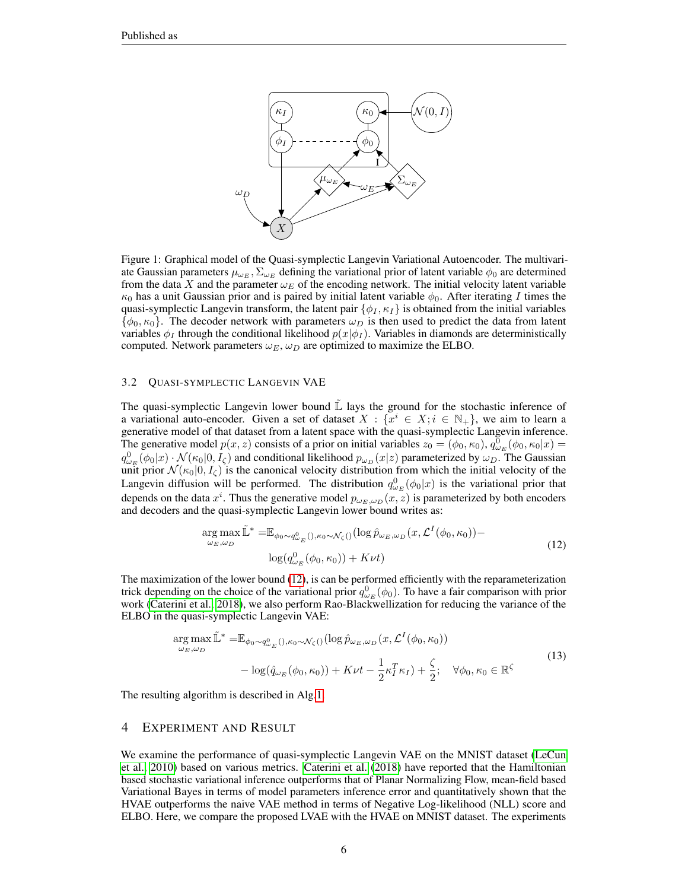

<span id="page-5-1"></span>Figure 1: Graphical model of the Quasi-symplectic Langevin Variational Autoencoder. The multivariate Gaussian parameters  $\mu_{\omega_E}, \Sigma_{\omega_E}$  defining the variational prior of latent variable  $\phi_0$  are determined from the data X and the parameter  $\omega_E$  of the encoding network. The initial velocity latent variable  $\kappa_0$  has a unit Gaussian prior and is paired by initial latent variable  $\phi_0$ . After iterating I times the quasi-symplectic Langevin transform, the latent pair  $\{\phi_I, \kappa_I\}$  is obtained from the initial variables  $\{\phi_0, \kappa_0\}$ . The decoder network with parameters  $\omega_D$  is then used to predict the data from latent variables  $\phi_I$  through the conditional likelihood  $p(x|\phi_I)$ . Variables in diamonds are deterministically computed. Network parameters  $\omega_E$ ,  $\omega_D$  are optimized to maximize the ELBO.

#### 3.2 QUASI-SYMPLECTIC LANGEVIN VAE

The quasi-symplectic Langevin lower bound  $\mathbb{\tilde{L}}$  lays the ground for the stochastic inference of a variational auto-encoder. Given a set of dataset  $X : \{x^i \in X : i \in \mathbb{N}_+\}$ , we aim to learn a generative model of that dataset from a latent space with the quasi-symplectic Langevin inference. The generative model  $p(x, z)$  consists of a prior on initial variables  $z_0 = (\phi_0, \kappa_0), q_{\omega_E}^0(\phi_0, \kappa_0|x) =$  $q_{\omega_E}^0(\phi_0|x) \cdot \mathcal{N}(\kappa_0|0,I_\zeta)$  and conditional likelihood  $p_{\omega_D}(x|z)$  parameterized by  $\omega_D$ . The Gaussian unit prior  $\mathcal{N}(\kappa_0|0,I_\zeta)$  is the canonical velocity distribution from which the initial velocity of the Langevin diffusion will be performed. The distribution  $q_{\omega_E}^0(\phi_0|x)$  is the variational prior that depends on the data  $x^i$ . Thus the generative model  $p_{\omega_E,\omega_D}(x,\overline{z})$  is parameterized by both encoders and decoders and the quasi-symplectic Langevin lower bound writes as:

$$
\underset{\omega_{E,\omega_D}}{\arg \max} \tilde{\mathbb{L}}^* = \mathbb{E}_{\phi_0 \sim q^0_{\omega_E}( ), \kappa_0 \sim \mathcal{N}_{\zeta}( )} (\log \hat{p}_{\omega_E, \omega_D}(x, \mathcal{L}^I(\phi_0, \kappa_0)) - \log(q^0_{\omega_E}(\phi_0, \kappa_0)) + K\nu t)
$$
\n(12)

<span id="page-5-0"></span>The maximization of the lower bound [\(12\)](#page-5-0), is can be performed efficiently with the reparameterization trick depending on the choice of the variational prior  $q_{\omega_E}^0(\phi_0)$ . To have a fair comparison with prior work [\(Caterini et al., 2018\)](#page-8-0), we also perform Rao-Blackwellization for reducing the variance of the ELBO in the quasi-symplectic Langevin VAE:

$$
\arg \max_{\omega_E, \omega_D} \tilde{\mathbb{L}}^* = \mathbb{E}_{\phi_0 \sim q^0_{\omega_E}(), \kappa_0 \sim \mathcal{N}_{\zeta}()} (\log \hat{p}_{\omega_E, \omega_D}(x, \mathcal{L}^I(\phi_0, \kappa_0)) \n- \log(\hat{q}_{\omega_E}(\phi_0, \kappa_0)) + K\nu t - \frac{1}{2} \kappa_I^T \kappa_I) + \frac{\zeta}{2}; \quad \forall \phi_0, \kappa_0 \in \mathbb{R}^{\zeta}
$$
\n(13)

The resulting algorithm is described in Alg[.1.](#page-4-0)

#### 4 EXPERIMENT AND RESULT

We examine the performance of quasi-symplectic Langevin VAE on the MNIST dataset [\(LeCun](#page-9-12) [et al., 2010\)](#page-9-12) based on various metrics. [Caterini et al.](#page-8-0) [\(2018\)](#page-8-0) have reported that the Hamiltonian based stochastic variational inference outperforms that of Planar Normalizing Flow, mean-field based Variational Bayes in terms of model parameters inference error and quantitatively shown that the HVAE outperforms the naive VAE method in terms of Negative Log-likelihood (NLL) score and ELBO. Here, we compare the proposed LVAE with the HVAE on MNIST dataset. The experiments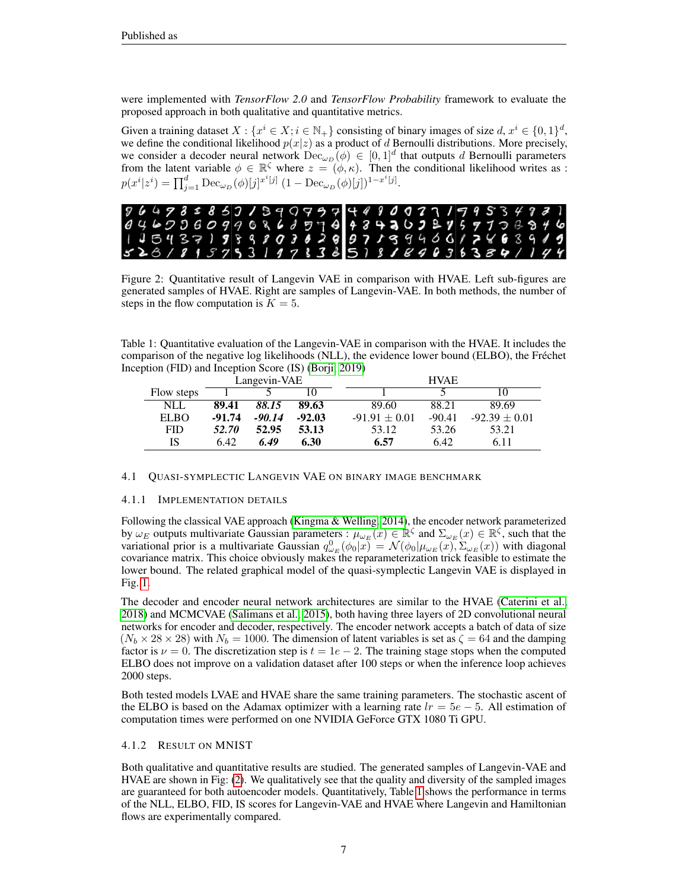were implemented with *TensorFlow 2.0* and *TensorFlow Probability* framework to evaluate the proposed approach in both qualitative and quantitative metrics.

Given a training dataset  $X : \{x^i \in X : i \in \mathbb{N}_+\}$  consisting of binary images of size  $d, x^i \in \{0, 1\}^d$ , we define the conditional likelihood  $p(x|z)$  as a product of d Bernoulli distributions. More precisely, we consider a decoder neural network  $\text{Dec}_{\omega_D}(\phi) \in [0,1]^d$  that outputs d Bernoulli parameters from the latent variable  $\phi \in \mathbb{R}^{\zeta}$  where  $z = (\phi, \kappa)$ . Then the conditional likelihood writes as :  $p(x^i|z^i) = \prod_{j=1}^d \text{Dec}_{\omega_D}(\phi)[j]^{x^i[j]} (1 - \text{Dec}_{\omega_D}(\phi)[j])^{1-x^i[j]}$ .



<span id="page-6-0"></span>Figure 2: Quantitative result of Langevin VAE in comparison with HVAE. Left sub-figures are generated samples of HVAE. Right are samples of Langevin-VAE. In both methods, the number of steps in the flow computation is  $K = 5$ .

<span id="page-6-1"></span>Table 1: Quantitative evaluation of the Langevin-VAE in comparison with the HVAE. It includes the comparison of the negative log likelihoods (NLL), the evidence lower bound (ELBO), the Frechet ´ Inception (FID) and Inception Score (IS) [\(Borji, 2019\)](#page-8-6)

|             | Langevin-VAE |          |          |                   | <b>HVAE</b> |                   |  |
|-------------|--------------|----------|----------|-------------------|-------------|-------------------|--|
| Flow steps  |              |          |          |                   |             |                   |  |
| <b>NLL</b>  | 89.41        | 88.15    | 89.63    | 89.60             | 88.21       | 89.69             |  |
| <b>ELBO</b> | $-91.74$     | $-90.14$ | $-92.03$ | $-91.91 \pm 0.01$ | $-90.41$    | $-92.39 \pm 0.01$ |  |
| <b>FID</b>  | 52.70        | 52.95    | 53.13    | 53.12             | 53.26       | 53.21             |  |
| IS          | 6.42         | 6.49     | 6.30     | 6.57              | 6.42        | 6.11              |  |

#### 4.1 QUASI-SYMPLECTIC LANGEVIN VAE ON BINARY IMAGE BENCHMARK

#### 4.1.1 IMPLEMENTATION DETAILS

Following the classical VAE approach [\(Kingma & Welling, 2014\)](#page-8-1), the encoder network parameterized by  $\omega_E$  outputs multivariate Gaussian parameters :  $\mu_{\omega_E}(x) \in \mathbb{R}^{\zeta}$  and  $\Sigma_{\omega_E}(x) \in \mathbb{R}^{\zeta}$ , such that the variational prior is a multivariate Gaussian  $q_{\omega_E}^0(\phi_0|x) = \mathcal{N}(\phi_0|\mu_{\omega_E}(x), \Sigma_{\omega_E}(x))$  with diagonal covariance matrix. This choice obviously makes the reparameterization trick feasible to estimate the lower bound. The related graphical model of the quasi-symplectic Langevin VAE is displayed in Fig. [1.](#page-5-1)

The decoder and encoder neural network architectures are similar to the HVAE [\(Caterini et al.,](#page-8-0) [2018\)](#page-8-0) and MCMCVAE [\(Salimans et al., 2015\)](#page-9-1), both having three layers of 2D convolutional neural networks for encoder and decoder, respectively. The encoder network accepts a batch of data of size  $(N_b \times 28 \times 28)$  with  $N_b = 1000$ . The dimension of latent variables is set as  $\zeta = 64$  and the damping factor is  $\nu = 0$ . The discretization step is  $t = 1e - 2$ . The training stage stops when the computed ELBO does not improve on a validation dataset after 100 steps or when the inference loop achieves 2000 steps.

Both tested models LVAE and HVAE share the same training parameters. The stochastic ascent of the ELBO is based on the Adamax optimizer with a learning rate  $lr = 5e - 5$ . All estimation of computation times were performed on one NVIDIA GeForce GTX 1080 Ti GPU.

## 4.1.2 RESULT ON MNIST

Both qualitative and quantitative results are studied. The generated samples of Langevin-VAE and HVAE are shown in Fig: [\(2\)](#page-6-0). We qualitatively see that the quality and diversity of the sampled images are guaranteed for both autoencoder models. Quantitatively, Table [1](#page-6-1) shows the performance in terms of the NLL, ELBO, FID, IS scores for Langevin-VAE and HVAE where Langevin and Hamiltonian flows are experimentally compared.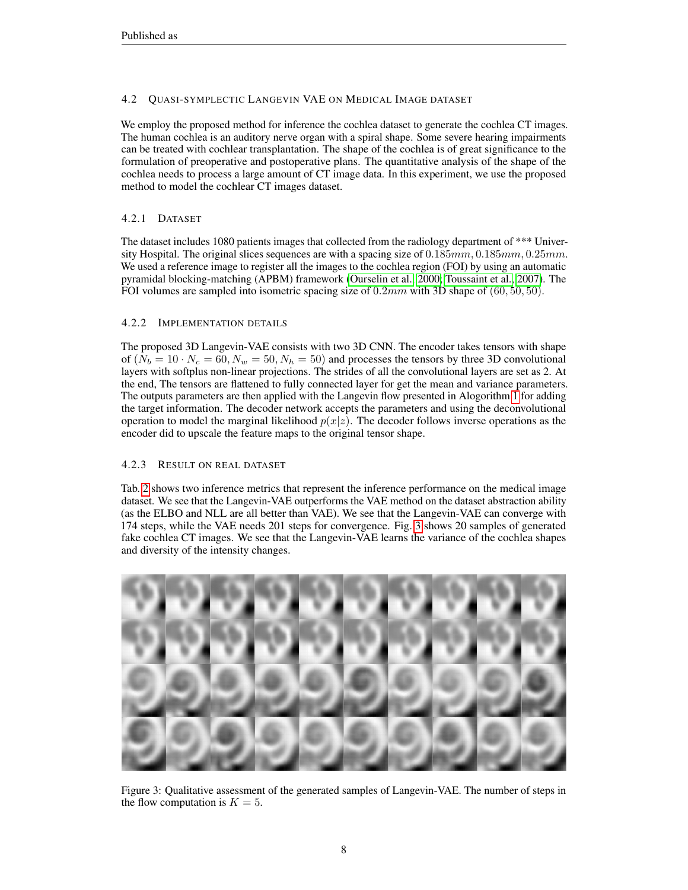# 4.2 QUASI-SYMPLECTIC LANGEVIN VAE ON MEDICAL IMAGE DATASET

We employ the proposed method for inference the cochlea dataset to generate the cochlea CT images. The human cochlea is an auditory nerve organ with a spiral shape. Some severe hearing impairments can be treated with cochlear transplantation. The shape of the cochlea is of great significance to the formulation of preoperative and postoperative plans. The quantitative analysis of the shape of the cochlea needs to process a large amount of CT image data. In this experiment, we use the proposed method to model the cochlear CT images dataset.

# 4.2.1 DATASET

The dataset includes 1080 patients images that collected from the radiology department of \*\*\* University Hospital. The original slices sequences are with a spacing size of  $0.185mm, 0.185mm, 0.25mm$ . We used a reference image to register all the images to the cochlea region (FOI) by using an automatic pyramidal blocking-matching (APBM) framework [\(Ourselin et al., 2000;](#page-9-13) [Toussaint et al., 2007\)](#page-9-14). The FOI volumes are sampled into isometric spacing size of  $0.2mm$  with 3D shape of (60, 50, 50).

# 4.2.2 IMPLEMENTATION DETAILS

The proposed 3D Langevin-VAE consists with two 3D CNN. The encoder takes tensors with shape of  $(N_b = 10 \cdot N_c = 60, N_w = 50, N_h = 50)$  and processes the tensors by three 3D convolutional layers with softplus non-linear projections. The strides of all the convolutional layers are set as 2. At the end, The tensors are flattened to fully connected layer for get the mean and variance parameters. The outputs parameters are then applied with the Langevin flow presented in Alogorithm [1](#page-4-0) for adding the target information. The decoder network accepts the parameters and using the deconvolutional operation to model the marginal likelihood  $p(x|z)$ . The decoder follows inverse operations as the encoder did to upscale the feature maps to the original tensor shape.

# 4.2.3 RESULT ON REAL DATASET

Tab. [2](#page-8-7) shows two inference metrics that represent the inference performance on the medical image dataset. We see that the Langevin-VAE outperforms the VAE method on the dataset abstraction ability (as the ELBO and NLL are all better than VAE). We see that the Langevin-VAE can converge with 174 steps, while the VAE needs 201 steps for convergence. Fig. [3](#page-7-0) shows 20 samples of generated fake cochlea CT images. We see that the Langevin-VAE learns the variance of the cochlea shapes and diversity of the intensity changes.

<span id="page-7-0"></span>

Figure 3: Qualitative assessment of the generated samples of Langevin-VAE. The number of steps in the flow computation is  $K = 5$ .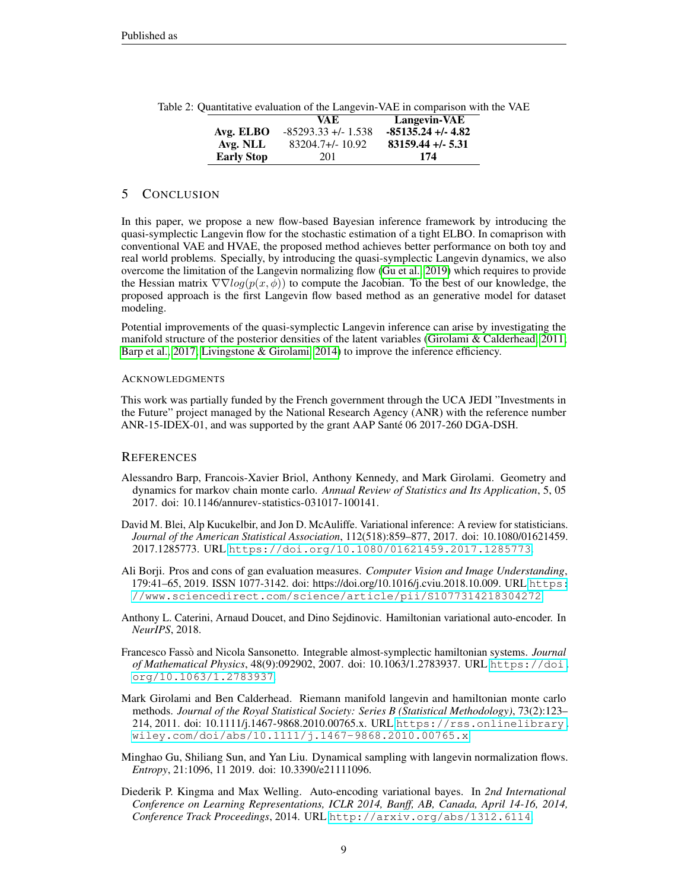<span id="page-8-7"></span>

|                   | VA E                 | Langevin-VAE         |
|-------------------|----------------------|----------------------|
| Avg. ELBO         | $-85293.33 + -1.538$ | $-85135.24 + -4.82$  |
| Avg. NLL          | $83204.7 + (-10.92)$ | $83159.44 + (-5.31)$ |
| <b>Early Stop</b> | 201                  | 174                  |

Table 2: Quantitative evaluation of the Langevin-VAE in comparison with the VAE

## 5 CONCLUSION

In this paper, we propose a new flow-based Bayesian inference framework by introducing the quasi-symplectic Langevin flow for the stochastic estimation of a tight ELBO. In comaprison with conventional VAE and HVAE, the proposed method achieves better performance on both toy and real world problems. Specially, by introducing the quasi-symplectic Langevin dynamics, we also overcome the limitation of the Langevin normalizing flow [\(Gu et al., 2019\)](#page-8-4) which requires to provide the Hessian matrix  $\nabla \nabla log(p(x, \phi))$  to compute the Jacobian. To the best of our knowledge, the proposed approach is the first Langevin flow based method as an generative model for dataset modeling.

Potential improvements of the quasi-symplectic Langevin inference can arise by investigating the manifold structure of the posterior densities of the latent variables [\(Girolami & Calderhead, 2011;](#page-8-3) [Barp et al., 2017;](#page-8-8) [Livingstone & Girolami, 2014\)](#page-9-15) to improve the inference efficiency.

#### ACKNOWLEDGMENTS

This work was partially funded by the French government through the UCA JEDI "Investments in the Future" project managed by the National Research Agency (ANR) with the reference number ANR-15-IDEX-01, and was supported by the grant AAP Sante 06 2017-260 DGA-DSH. ´

## **REFERENCES**

- <span id="page-8-8"></span>Alessandro Barp, Francois-Xavier Briol, Anthony Kennedy, and Mark Girolami. Geometry and dynamics for markov chain monte carlo. *Annual Review of Statistics and Its Application*, 5, 05 2017. doi: 10.1146/annurev-statistics-031017-100141.
- <span id="page-8-5"></span>David M. Blei, Alp Kucukelbir, and Jon D. McAuliffe. Variational inference: A review for statisticians. *Journal of the American Statistical Association*, 112(518):859–877, 2017. doi: 10.1080/01621459. 2017.1285773. URL <https://doi.org/10.1080/01621459.2017.1285773>.
- <span id="page-8-6"></span>Ali Borji. Pros and cons of gan evaluation measures. *Computer Vision and Image Understanding*, 179:41–65, 2019. ISSN 1077-3142. doi: https://doi.org/10.1016/j.cviu.2018.10.009. URL [https:](https://www.sciencedirect.com/science/article/pii/S1077314218304272) [//www.sciencedirect.com/science/article/pii/S1077314218304272](https://www.sciencedirect.com/science/article/pii/S1077314218304272).
- <span id="page-8-0"></span>Anthony L. Caterini, Arnaud Doucet, and Dino Sejdinovic. Hamiltonian variational auto-encoder. In *NeurIPS*, 2018.
- <span id="page-8-2"></span>Francesco Fasso and Nicola Sansonetto. Integrable almost-symplectic hamiltonian systems. ` *Journal of Mathematical Physics*, 48(9):092902, 2007. doi: 10.1063/1.2783937. URL [https://doi.](https://doi.org/10.1063/1.2783937) [org/10.1063/1.2783937](https://doi.org/10.1063/1.2783937).
- <span id="page-8-3"></span>Mark Girolami and Ben Calderhead. Riemann manifold langevin and hamiltonian monte carlo methods. *Journal of the Royal Statistical Society: Series B (Statistical Methodology)*, 73(2):123– 214, 2011. doi: 10.1111/j.1467-9868.2010.00765.x. URL [https://rss.onlinelibrary.](https://rss.onlinelibrary.wiley.com/doi/abs/10.1111/j.1467-9868.2010.00765.x) [wiley.com/doi/abs/10.1111/j.1467-9868.2010.00765.x](https://rss.onlinelibrary.wiley.com/doi/abs/10.1111/j.1467-9868.2010.00765.x).
- <span id="page-8-4"></span>Minghao Gu, Shiliang Sun, and Yan Liu. Dynamical sampling with langevin normalization flows. *Entropy*, 21:1096, 11 2019. doi: 10.3390/e21111096.
- <span id="page-8-1"></span>Diederik P. Kingma and Max Welling. Auto-encoding variational bayes. In *2nd International Conference on Learning Representations, ICLR 2014, Banff, AB, Canada, April 14-16, 2014, Conference Track Proceedings*, 2014. URL <http://arxiv.org/abs/1312.6114>.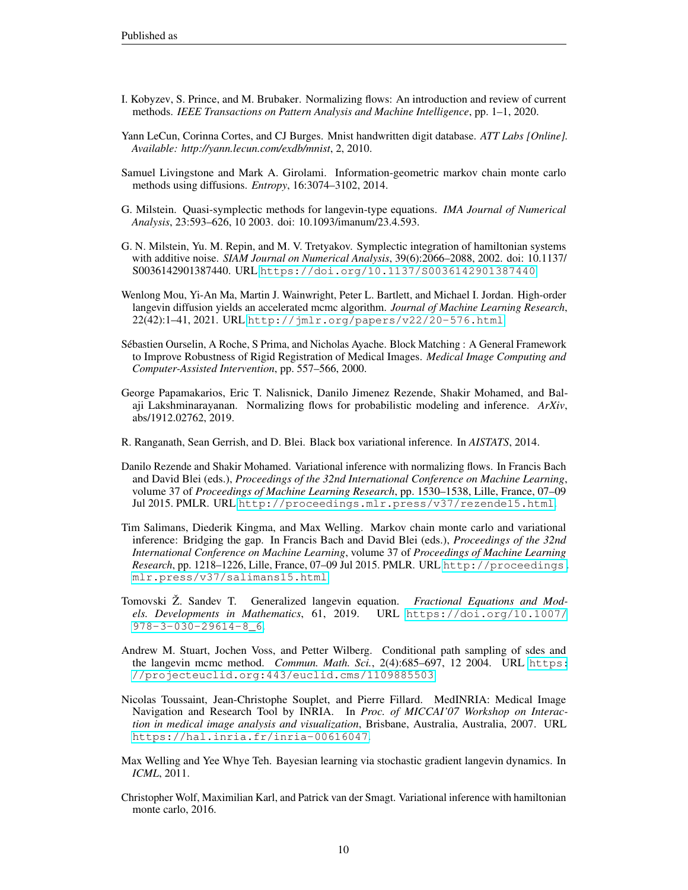- <span id="page-9-8"></span>I. Kobyzev, S. Prince, and M. Brubaker. Normalizing flows: An introduction and review of current methods. *IEEE Transactions on Pattern Analysis and Machine Intelligence*, pp. 1–1, 2020.
- <span id="page-9-12"></span>Yann LeCun, Corinna Cortes, and CJ Burges. Mnist handwritten digit database. *ATT Labs [Online]. Available: http://yann.lecun.com/exdb/mnist*, 2, 2010.
- <span id="page-9-15"></span>Samuel Livingstone and Mark A. Girolami. Information-geometric markov chain monte carlo methods using diffusions. *Entropy*, 16:3074–3102, 2014.
- <span id="page-9-11"></span>G. Milstein. Quasi-symplectic methods for langevin-type equations. *IMA Journal of Numerical Analysis*, 23:593–626, 10 2003. doi: 10.1093/imanum/23.4.593.
- <span id="page-9-10"></span>G. N. Milstein, Yu. M. Repin, and M. V. Tretyakov. Symplectic integration of hamiltonian systems with additive noise. *SIAM Journal on Numerical Analysis*, 39(6):2066–2088, 2002. doi: 10.1137/ S0036142901387440. URL <https://doi.org/10.1137/S0036142901387440>.
- <span id="page-9-7"></span>Wenlong Mou, Yi-An Ma, Martin J. Wainwright, Peter L. Bartlett, and Michael I. Jordan. High-order langevin diffusion yields an accelerated mcmc algorithm. *Journal of Machine Learning Research*, 22(42):1–41, 2021. URL <http://jmlr.org/papers/v22/20-576.html>.
- <span id="page-9-13"></span>Sebastien Ourselin, A Roche, S Prima, and Nicholas Ayache. Block Matching : A General Framework ´ to Improve Robustness of Rigid Registration of Medical Images. *Medical Image Computing and Computer-Assisted Intervention*, pp. 557–566, 2000.
- <span id="page-9-4"></span>George Papamakarios, Eric T. Nalisnick, Danilo Jimenez Rezende, Shakir Mohamed, and Balaji Lakshminarayanan. Normalizing flows for probabilistic modeling and inference. *ArXiv*, abs/1912.02762, 2019.
- <span id="page-9-3"></span>R. Ranganath, Sean Gerrish, and D. Blei. Black box variational inference. In *AISTATS*, 2014.
- <span id="page-9-2"></span>Danilo Rezende and Shakir Mohamed. Variational inference with normalizing flows. In Francis Bach and David Blei (eds.), *Proceedings of the 32nd International Conference on Machine Learning*, volume 37 of *Proceedings of Machine Learning Research*, pp. 1530–1538, Lille, France, 07–09 Jul 2015. PMLR. URL <http://proceedings.mlr.press/v37/rezende15.html>.
- <span id="page-9-1"></span>Tim Salimans, Diederik Kingma, and Max Welling. Markov chain monte carlo and variational inference: Bridging the gap. In Francis Bach and David Blei (eds.), *Proceedings of the 32nd International Conference on Machine Learning*, volume 37 of *Proceedings of Machine Learning Research*, pp. 1218–1226, Lille, France, 07–09 Jul 2015. PMLR. URL [http://proceedings.](http://proceedings.mlr.press/v37/salimans15.html) [mlr.press/v37/salimans15.html](http://proceedings.mlr.press/v37/salimans15.html).
- <span id="page-9-9"></span>Tomovski Z. Sandev T. Generalized langevin equation. *Fractional Equations and Models. Developments in Mathematics*, 61, 2019. URL [https://doi.org/10.1007/](https://doi.org/10.1007/978-3-030-29614-8_6) [978-3-030-29614-8\\_6](https://doi.org/10.1007/978-3-030-29614-8_6).
- <span id="page-9-5"></span>Andrew M. Stuart, Jochen Voss, and Petter Wilberg. Conditional path sampling of sdes and the langevin mcmc method. *Commun. Math. Sci.*, 2(4):685–697, 12 2004. URL [https:](https://projecteuclid.org:443/euclid.cms/1109885503) [//projecteuclid.org:443/euclid.cms/1109885503](https://projecteuclid.org:443/euclid.cms/1109885503).
- <span id="page-9-14"></span>Nicolas Toussaint, Jean-Christophe Souplet, and Pierre Fillard. MedINRIA: Medical Image Navigation and Research Tool by INRIA. In *Proc. of MICCAI'07 Workshop on Interaction in medical image analysis and visualization*, Brisbane, Australia, Australia, 2007. URL <https://hal.inria.fr/inria-00616047>.
- <span id="page-9-6"></span>Max Welling and Yee Whye Teh. Bayesian learning via stochastic gradient langevin dynamics. In *ICML*, 2011.
- <span id="page-9-0"></span>Christopher Wolf, Maximilian Karl, and Patrick van der Smagt. Variational inference with hamiltonian monte carlo, 2016.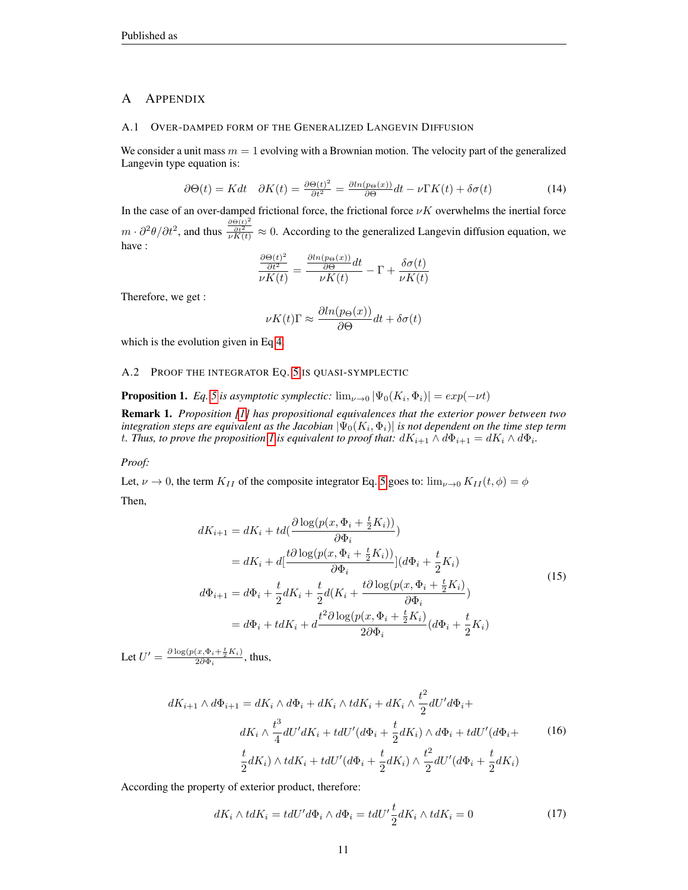# A APPENDIX

#### <span id="page-10-0"></span>A.1 OVER-DAMPED FORM OF THE GENERALIZED LANGEVIN DIFFUSION

We consider a unit mass  $m = 1$  evolving with a Brownian motion. The velocity part of the generalized Langevin type equation is:

$$
\partial \Theta(t) = K dt \quad \partial K(t) = \frac{\partial \Theta(t)^2}{\partial t^2} = \frac{\partial \ln(p_{\Theta}(x))}{\partial \Theta} dt - \nu \Gamma K(t) + \delta \sigma(t) \tag{14}
$$

In the case of an over-damped frictional force, the frictional force  $\nu K$  overwhelms the inertial force  $m \cdot \partial^2 \theta / \partial t^2$ , and thus  $\frac{\partial \Theta(t)^2}{\partial K(t)} \approx 0$ . According to the generalized Langevin diffusion equation, we have :

$$
\frac{\frac{\partial \Theta(t)^2}{\partial t^2}}{\nu K(t)} = \frac{\frac{\partial \ln(p_{\Theta}(x))}{\partial \Theta} dt}{\nu K(t)} - \Gamma + \frac{\delta \sigma(t)}{\nu K(t)}
$$

Therefore, we get :

$$
\nu K(t)\Gamma \approx \frac{\partial \ln(p_{\Theta}(x))}{\partial \Theta} dt + \delta \sigma(t)
$$

which is the evolution given in Eq [4.](#page-2-3)

<span id="page-10-1"></span>A.2 PROOF THE INTEGRATOR EQ. [5](#page-3-0) IS QUASI-SYMPLECTIC

<span id="page-10-2"></span>**Proposition 1.** Eq. [5](#page-3-0) is asymptotic symplectic:  $\lim_{\nu \to 0} |\Psi_0(K_i, \Phi_i)| = exp(-\nu t)$ 

Remark 1. *Proposition [\[1\]](#page-10-2) has propositional equivalences that the exterior power between two*  $i$ ntegration steps are equivalent as the Jacobian  $|\Psi_{0}(K_{i},\Phi_{i})|$  is not dependent on the time step term t. Thus, to prove the proposition [1](#page-10-2) is equivalent to proof that:  $dK_{i+1}\wedge d\Phi_{i+1}=dK_i\wedge d\Phi_i$ .

### *Proof:*

Let,  $\nu \to 0$ , the term  $K_{II}$  of the composite integrator Eq. [5](#page-3-0) goes to:  $\lim_{\nu \to 0} K_{II}(t, \phi) = \phi$ Then,

$$
dK_{i+1} = dK_i + td\left(\frac{\partial \log(p(x, \Phi_i + \frac{t}{2}K_i))}{\partial \Phi_i}\right)
$$
  
\n
$$
= dK_i + d\left[\frac{t\partial \log(p(x, \Phi_i + \frac{t}{2}K_i))}{\partial \Phi_i}\right](d\Phi_i + \frac{t}{2}K_i)
$$
  
\n
$$
d\Phi_{i+1} = d\Phi_i + \frac{t}{2}dK_i + \frac{t}{2}d(K_i + \frac{t\partial \log(p(x, \Phi_i + \frac{t}{2}K_i))}{\partial \Phi_i})
$$
  
\n
$$
= d\Phi_i + tdK_i + d\frac{t^2\partial \log(p(x, \Phi_i + \frac{t}{2}K_i))}{2\partial \Phi_i}(d\Phi_i + \frac{t}{2}K_i)
$$
\n(15)

Let  $U' = \frac{\partial \log(p(x, \Phi_i + \frac{t}{2}K_i))}{2\partial \Phi_i}$ , thus,

<span id="page-10-3"></span>
$$
dK_{i+1} \wedge d\Phi_{i+1} = dK_i \wedge d\Phi_i + dK_i \wedge tdK_i + dK_i \wedge \frac{t^2}{2} dU'd\Phi_i +
$$
  

$$
dK_i \wedge \frac{t^3}{4} dU'dK_i + tdU'(d\Phi_i + \frac{t}{2} dK_i) \wedge d\Phi_i + tdU'(d\Phi_i + \frac{t}{2} dK_i)
$$
 (16)  

$$
\frac{t}{2} dK_i) \wedge tdK_i + tdU'(d\Phi_i + \frac{t}{2} dK_i) \wedge \frac{t^2}{2} dU'(d\Phi_i + \frac{t}{2} dK_i)
$$

According the property of exterior product, therefore:

$$
dK_i \wedge tdK_i = tdU'd\Phi_i \wedge d\Phi_i = tdU'\frac{t}{2}dK_i \wedge tdK_i = 0
$$
\n(17)